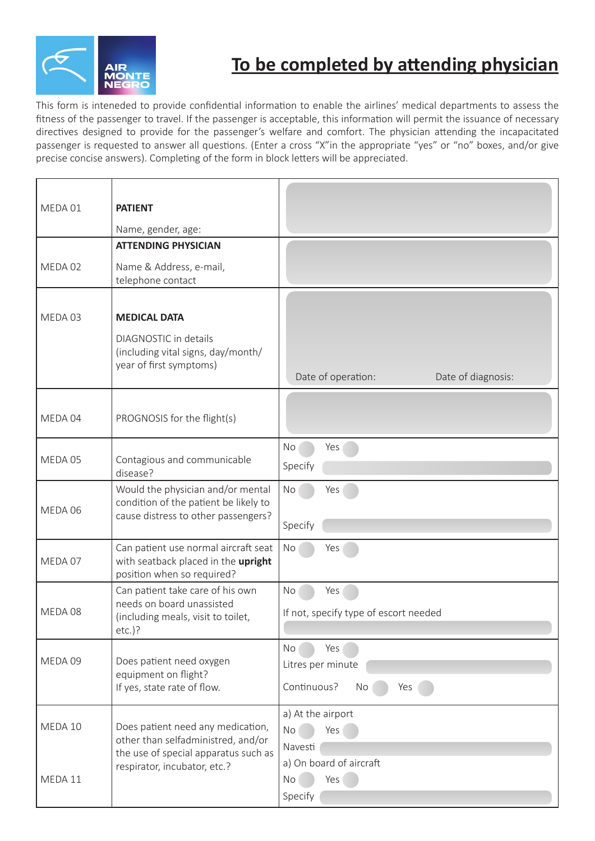

## **To be completed by attending physician**

This form is inteneded to provide confidential information to enable the airlines' medical departments to assess the fitness of the passenger to travel. If the passenger is acceptable, this information will permit the issuance of necessary directives designed to provide for the passenger's welfare and comfort. The physician attending the incapacitated passenger is requested to answer all questions. (Enter a cross "X"in the appropriate "yes" or "no" boxes, and/or give precise concise answers). Completing of the form in block letters will be appreciated.

| MEDA 01 | <b>PATIENT</b><br>Name, gender, age:                                                                                                            |                                                            |
|---------|-------------------------------------------------------------------------------------------------------------------------------------------------|------------------------------------------------------------|
|         | <b>ATTENDING PHYSICIAN</b>                                                                                                                      |                                                            |
| MEDA 02 | Name & Address, e-mail,<br>telephone contact                                                                                                    |                                                            |
| MEDA 03 | <b>MEDICAL DATA</b>                                                                                                                             |                                                            |
|         | DIAGNOSTIC in details<br>(including vital signs, day/month/<br>year of first symptoms)                                                          | Date of operation:<br>Date of diagnosis:                   |
| MEDA 04 | PROGNOSIS for the flight(s)                                                                                                                     |                                                            |
| MEDA 05 | Contagious and communicable<br>disease?                                                                                                         | No<br>Yes<br>Specify                                       |
| MEDA 06 | Would the physician and/or mental<br>condition of the patient be likely to<br>cause distress to other passengers?                               | No<br>Yes<br>Specify                                       |
| MEDA 07 | Can patient use normal aircraft seat<br>with seatback placed in the upright<br>position when so required?                                       | No<br>Yes                                                  |
| MEDA 08 | Can patient take care of his own<br>needs on board unassisted<br>(including meals, visit to toilet,<br>$etc.$ )?                                | No<br>Yes<br>If not, specify type of escort needed         |
| MEDA 09 | Does patient need oxygen<br>equipment on flight?<br>If yes, state rate of flow.                                                                 | Yes<br>No<br>Litres per minute<br>Continuous?<br>No<br>Yes |
| MEDA 10 | Does patient need any medication,<br>other than selfadministred, and/or<br>the use of special apparatus such as<br>respirator, incubator, etc.? | a) At the airport<br>Yes<br>No<br>Navesti                  |
| MEDA 11 |                                                                                                                                                 | a) On board of aircraft<br>Yes<br>No<br>Specify            |